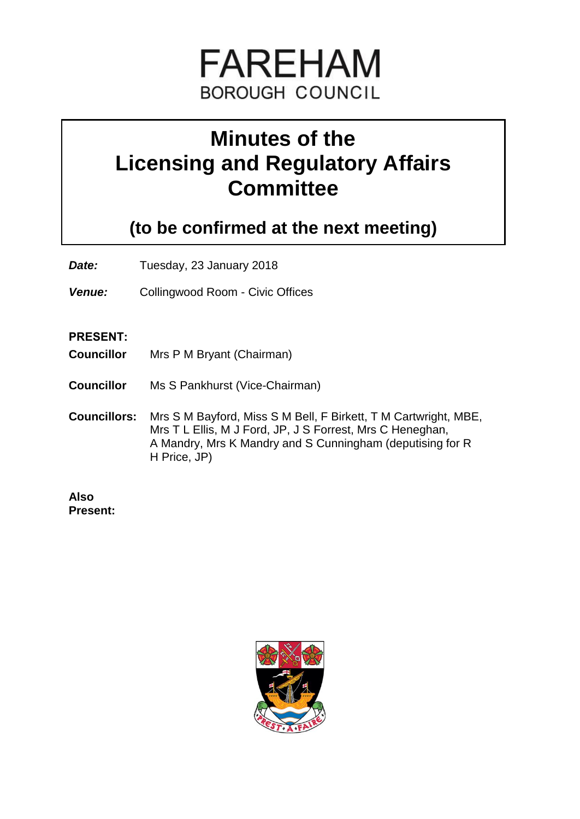

# **Minutes of the Licensing and Regulatory Affairs Committee**

**(to be confirmed at the next meeting)**

**Date:** Tuesday, 23 January 2018

*Venue:* Collingwood Room - Civic Offices

#### **PRESENT:**

- **Councillor** Mrs P M Bryant (Chairman)
- **Councillor** Ms S Pankhurst (Vice-Chairman)
- **Councillors:** Mrs S M Bayford, Miss S M Bell, F Birkett, T M Cartwright, MBE, Mrs T L Ellis, M J Ford, JP, J S Forrest, Mrs C Heneghan, A Mandry, Mrs K Mandry and S Cunningham (deputising for R H Price, JP)

**Also Present:**

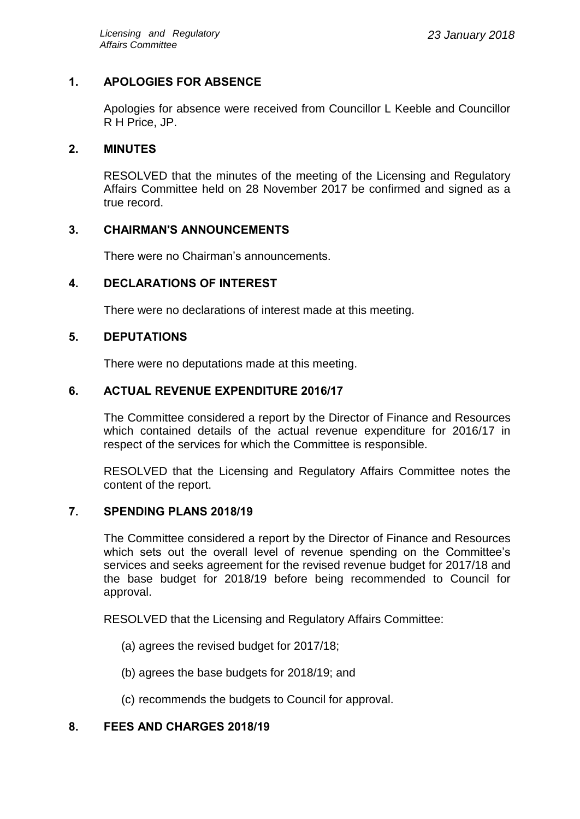## **1. APOLOGIES FOR ABSENCE**

Apologies for absence were received from Councillor L Keeble and Councillor R H Price, JP.

## **2. MINUTES**

RESOLVED that the minutes of the meeting of the Licensing and Regulatory Affairs Committee held on 28 November 2017 be confirmed and signed as a true record.

## **3. CHAIRMAN'S ANNOUNCEMENTS**

There were no Chairman's announcements.

## **4. DECLARATIONS OF INTEREST**

There were no declarations of interest made at this meeting.

#### **5. DEPUTATIONS**

There were no deputations made at this meeting.

## **6. ACTUAL REVENUE EXPENDITURE 2016/17**

The Committee considered a report by the Director of Finance and Resources which contained details of the actual revenue expenditure for 2016/17 in respect of the services for which the Committee is responsible.

RESOLVED that the Licensing and Regulatory Affairs Committee notes the content of the report.

#### **7. SPENDING PLANS 2018/19**

The Committee considered a report by the Director of Finance and Resources which sets out the overall level of revenue spending on the Committee's services and seeks agreement for the revised revenue budget for 2017/18 and the base budget for 2018/19 before being recommended to Council for approval.

RESOLVED that the Licensing and Regulatory Affairs Committee:

- (a) agrees the revised budget for 2017/18;
- (b) agrees the base budgets for 2018/19; and
- (c) recommends the budgets to Council for approval.

#### **8. FEES AND CHARGES 2018/19**